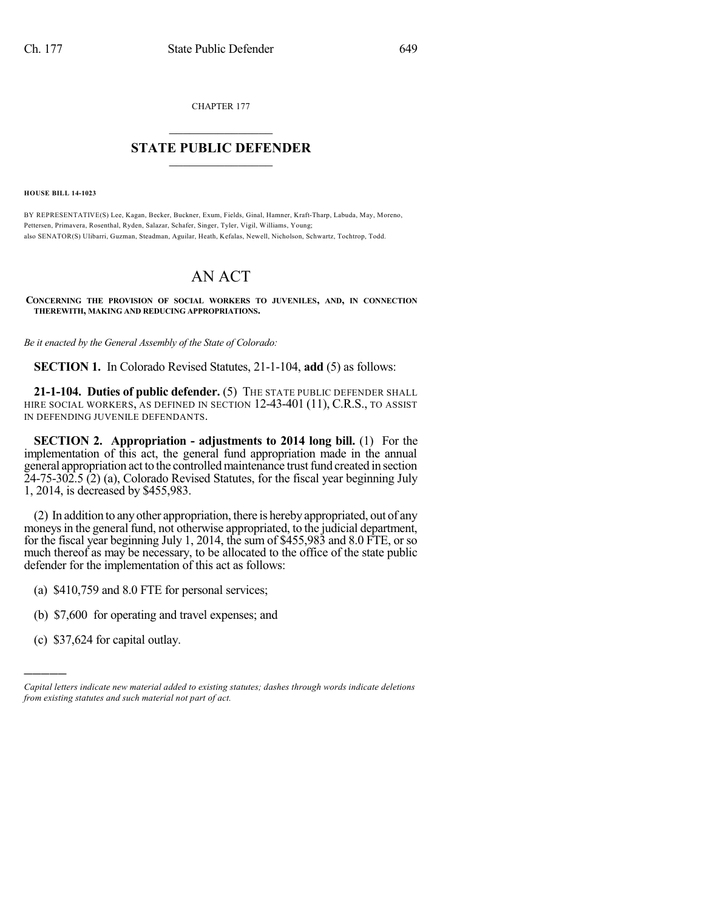CHAPTER 177

## $\mathcal{L}_\text{max}$  . The set of the set of the set of the set of the set of the set of the set of the set of the set of the set of the set of the set of the set of the set of the set of the set of the set of the set of the set **STATE PUBLIC DEFENDER**  $\_$   $\_$   $\_$   $\_$   $\_$   $\_$   $\_$   $\_$

**HOUSE BILL 14-1023**

BY REPRESENTATIVE(S) Lee, Kagan, Becker, Buckner, Exum, Fields, Ginal, Hamner, Kraft-Tharp, Labuda, May, Moreno, Pettersen, Primavera, Rosenthal, Ryden, Salazar, Schafer, Singer, Tyler, Vigil, Williams, Young; also SENATOR(S) Ulibarri, Guzman, Steadman, Aguilar, Heath, Kefalas, Newell, Nicholson, Schwartz, Tochtrop, Todd.

## AN ACT

**CONCERNING THE PROVISION OF SOCIAL WORKERS TO JUVENILES, AND, IN CONNECTION THEREWITH, MAKING AND REDUCING APPROPRIATIONS.**

*Be it enacted by the General Assembly of the State of Colorado:*

**SECTION 1.** In Colorado Revised Statutes, 21-1-104, **add** (5) as follows:

**21-1-104. Duties of public defender.** (5) THE STATE PUBLIC DEFENDER SHALL HIRE SOCIAL WORKERS, AS DEFINED IN SECTION 12-43-401 (11), C.R.S., TO ASSIST IN DEFENDING JUVENILE DEFENDANTS.

**SECTION 2. Appropriation - adjustments to 2014 long bill.** (1) For the implementation of this act, the general fund appropriation made in the annual general appropriation act to the controlled maintenance trust fund created in section  $24-75-302.5$  (2) (a), Colorado Revised Statutes, for the fiscal year beginning July 1, 2014, is decreased by \$455,983.

(2) In addition to anyother appropriation, there is herebyappropriated, out of any moneys in the general fund, not otherwise appropriated, to the judicial department, for the fiscal year beginning July 1, 2014, the sum of \$455,983 and 8.0 FTE, or so much thereof as may be necessary, to be allocated to the office of the state public defender for the implementation of this act as follows:

- (a) \$410,759 and 8.0 FTE for personal services;
- (b) \$7,600 for operating and travel expenses; and
- (c) \$37,624 for capital outlay.

)))))

*Capital letters indicate new material added to existing statutes; dashes through words indicate deletions from existing statutes and such material not part of act.*